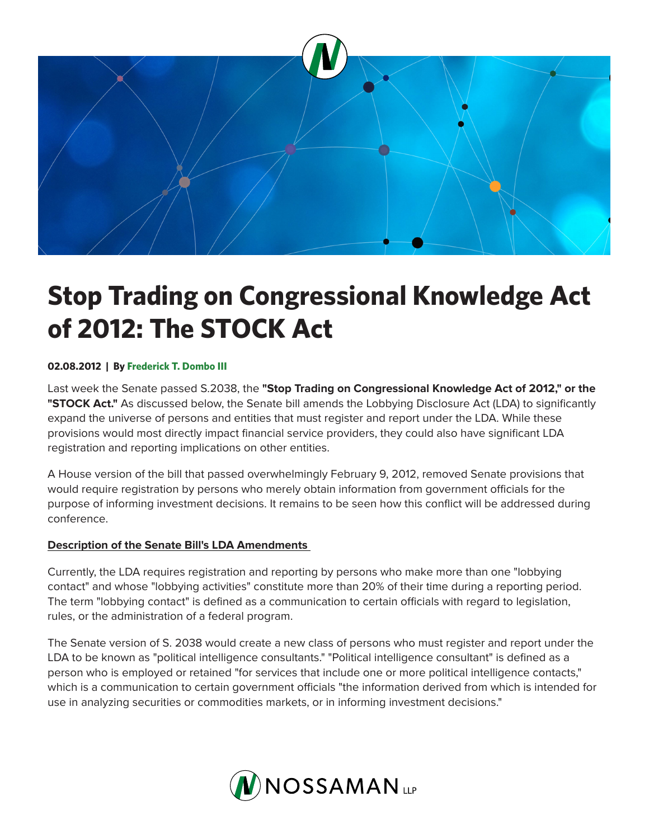

# **Stop Trading on Congressional Knowledge Act of 2012: The STOCK Act**

### **02.08.2012 | By Frederick T. Dombo III**

Last week the Senate passed S.2038, the **"Stop Trading on Congressional Knowledge Act of 2012," or the "STOCK Act."** As discussed below, the Senate bill amends the Lobbying Disclosure Act (LDA) to significantly expand the universe of persons and entities that must register and report under the LDA. While these provisions would most directly impact financial service providers, they could also have significant LDA registration and reporting implications on other entities.

A House version of the bill that passed overwhelmingly February 9, 2012, removed Senate provisions that would require registration by persons who merely obtain information from government officials for the purpose of informing investment decisions. It remains to be seen how this conflict will be addressed during conference.

## **Description of the Senate Bill's LDA Amendments**

Currently, the LDA requires registration and reporting by persons who make more than one "lobbying contact" and whose "lobbying activities" constitute more than 20% of their time during a reporting period. The term "lobbying contact" is defined as a communication to certain officials with regard to legislation, rules, or the administration of a federal program.

The Senate version of S. 2038 would create a new class of persons who must register and report under the LDA to be known as "political intelligence consultants." "Political intelligence consultant" is defined as a person who is employed or retained "for services that include one or more political intelligence contacts," which is a communication to certain government officials "the information derived from which is intended for use in analyzing securities or commodities markets, or in informing investment decisions."